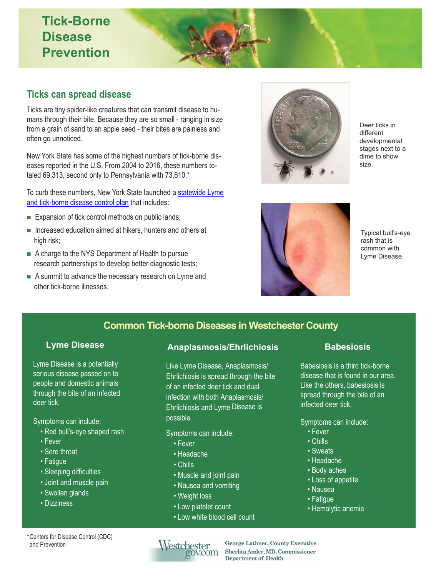# **Tick-Borne Disease Prevention**

#### **Ticks can spread disease**

Ticks are tiny spider-like creatures that can transmit disease to humans through their bite. Because they are so small - ranging in size from a grain of sand to an apple seed - their bites are painless and often go unnoticed.

New York State has some of the highest numbers of tick-borne diseases reported in the U.S. From 2004 to 2016, these numbers totaled 69,313, second only to Pennsylvania with 73,610.\*

To curb these numbers, New York State launched a statewide Lyme [and tick-borne disease control plan](https://www.governor.ny.gov/news/governor-cuomo-announces-lyme-and-tick-borne-disease-control-plan) that includes:

- **Expansion of tick control methods on public lands;**
- Increased education aimed at hikers, hunters and others at high risk;
- A charge to the NYS Department of Health to pursue research partnerships to develop better diagnostic tests;
- A summit to advance the necessary research on Lyme and other tick-borne illnesses.



Deer ticks in different developmental stages next to a dime to show size.



Typical bull's-eye rash that is common with Lyme Disease.

### **Common Tick-borne Diseases in Westchester County**

Lyme Disease is a potentially serious disease passed on to people and domestic animals through the bite of an infected deer tick.

- Red bull's-eye shaped rash
- Fever
- Sore throat
- Fatigue
- Sleeping difficulties
- Joint and muscle pain
- Swollen glands
- Dizziness

### **Lyme Disease Anaplasmosis/Ehrlichiosis Babesiosis**

Like Lyme Disease, Anaplasmosis/ Ehrlichiosis is spread through the bite of an infected deer tick and dual infection with both Anaplasmosis/ Ehrlichiosis and Lyme Disease is Symptoms can include: possible. Symptoms can include:

Symptoms can include:

- Fever
- Headache
- Chills
- Muscle and joint pain
- Nausea and vomiting
- Weight loss
- Low platelet count
- Low white blood cell count

Babesiosis is a third tick-borne disease that is found in our area. Like the others, babesiosis is spread through the bite of an infected deer tick.

- Fever
- Chills
- Sweats
- Headache
- Body aches
- Loss of appetite
- Nausea
- Fatigue
- Hemolytic anemia

\*Centers for Disease Control (CDC) and Prevention

# Westchester<br>gov.com

**George Latimer, County Executive Sherlita Arnler, MD, Commissioner Department of Health**